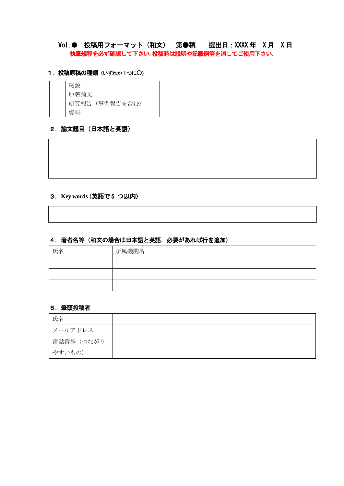# Vol.● 投稿用フォーマット(和文) 第●稿 提出日:XXXX 年 X 月 X 日 執筆規程を必ず確認して下さい.投稿時は説明や記載例等を消してご使用下さい.

### 1. 投稿原稿の種類(いずれか1つに〇)

| 総説             |
|----------------|
| 原著論文           |
| 研究報告 (事例報告を含む) |
| 資料             |

#### 2. 論文題目 (日本語と英語)

# 3.**Key words** (英語で 5 つ以内)

# 4.著者名等(和文の場合は日本語と英語.必要があれば行を追加)

| 氏名 | 所属機関名 |
|----|-------|
|    |       |
|    |       |
|    |       |

### 5.筆頭投稿者

| 氏名         |  |
|------------|--|
| メールアドレス    |  |
| 電話番号 (つながり |  |
| やすいもの)     |  |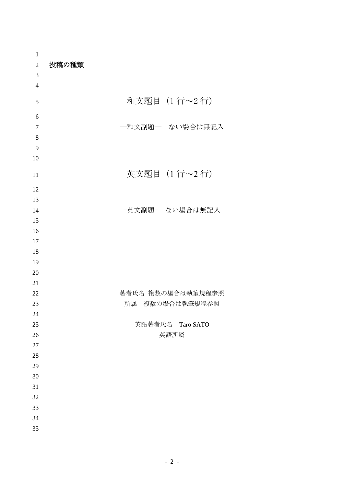| $\mathbf{1}$   |                   |
|----------------|-------------------|
| $\overline{2}$ | 投稿の種類             |
| 3              |                   |
| $\overline{4}$ |                   |
| 5              | 和文題目 (1行~2行)      |
| 6              |                   |
| $\tau$         | 一和文副題一 ない場合は無記入   |
| $8\,$          |                   |
| 9              |                   |
| 10             |                   |
| 11             | 英文題目 (1行~2行)      |
| 12             |                   |
| 13             |                   |
| 14             | -英文副題- ない場合は無記入   |
| 15             |                   |
| 16             |                   |
| 17             |                   |
| 18             |                   |
| 19             |                   |
| 20             |                   |
| 21             |                   |
| 22             | 著者氏名 複数の場合は執筆規程参照 |
| 23             | 所属 複数の場合は執筆規程参照   |
| 24             |                   |
| $25\,$         | 英語著者氏名 Taro SATO  |
| 26             | 英語所属              |
| $27\,$         |                   |
| $28\,$         |                   |
| 29             |                   |
| 30             |                   |
| 31             |                   |
| 32             |                   |
| 33             |                   |
| 34             |                   |
| 35             |                   |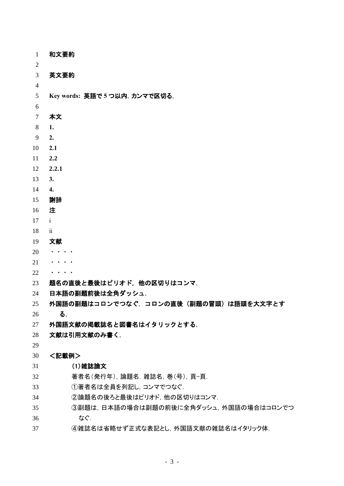| $\mathbf{1}$   | 和文要約                                    |
|----------------|-----------------------------------------|
| $\overline{2}$ |                                         |
| $\overline{3}$ | 英文要約                                    |
| $\overline{4}$ |                                         |
| 5              | Key words: 英語で5つ以内. カンマで区切る.            |
| 6              |                                         |
| $\overline{7}$ | 本文                                      |
| 8              | 1.                                      |
| 9              | 2.                                      |
| 10             | 2.1                                     |
| 11             | 2.2                                     |
| 12             | 2.2.1                                   |
| 13             | 3.                                      |
| 14             | 4.                                      |
| 15             | 謝辞                                      |
| 16             | 注                                       |
| 17             | $\mathbf{i}$                            |
| 18             | $\ddot{\mathbf{i}}$                     |
| 19             | 文献                                      |
| 20             |                                         |
| 21             |                                         |
| 22             | $\cdots$                                |
| 23             | 題名の直後と最後はピリオド、他の区切りはコンマ.                |
| 24             | 日本語の副題前後は全角ダッシュ.                        |
| 25             | 外国語の副題はコロンでつなぐ、コロンの直後(副題の冒頭)は語頭を大文字とす   |
| 26             | る.                                      |
| 27             | 外国語文献の掲載誌名と図書名はイタリックとする.                |
| 28             | 文献は引用文献のみ書く.                            |
| 29             |                                         |
| 30             | <記載例>                                   |
| 31             | (1)雑誌論文                                 |
| 32             | 著者名(発行年),論題名.雑誌名,巻(号),頁-頁.              |
| 33             | ①著者名は全員を列記し、コンマでつなぐ.                    |
| 34             | ②論題名の後ろと最後はピリオド、他の区切りはコンマ.              |
| 35             | ③副題は, 日本語の場合は副題の前後に全角ダッシュ, 外国語の場合はコロンでつ |
| 36             | なぐ.                                     |
| 37             | ④雑誌名は省略せず正式な表記とし、外国語文献の雑誌名はイタリック体.      |

- 3 -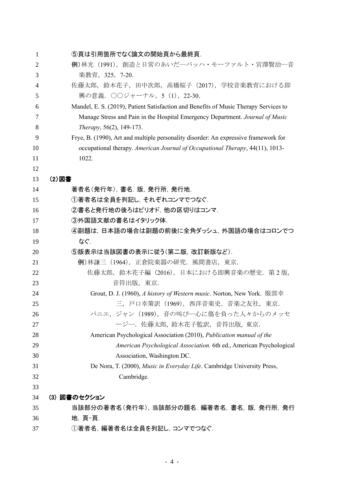| $\mathbf{1}$   | ⑤頁は引用箇所でなく論文の開始頁から最終頁.                                                               |
|----------------|--------------------------------------------------------------------------------------|
| $\overline{2}$ | 例)林光 (1991), 創造と日常のあいだ―バッハ・モーツァルト・宮澤賢治―音                                             |
| 3              | 楽教育, 325, 7-20.                                                                      |
| 4              | 佐藤太郎, 鈴木花子, 田中次郎, 高橋桜子(2017), 学校音楽教育における即                                            |
| 5              | 興の意義. ○○ジャーナル, 5 (1), 22-30.                                                         |
| 6              | Mandel, E. S. (2019), Patient Satisfaction and Benefits of Music Therapy Services to |
| 7              | Manage Stress and Pain in the Hospital Emergency Department. Journal of Music        |
| 8              | Therapy, 56(2), 149-173.                                                             |
| 9              | Frye, B. (1990), Art and multiple personality disorder: An expressive framework for  |
| 10             | occupational therapy. American Journal of Occupational Therapy, 44(11), 1013-        |
| 11             | 1022.                                                                                |
| 12             |                                                                                      |
| 13             | (2) 図書                                                                               |
| 14             | 著者名(発行年), 書名. 版, 発行所, 発行地.                                                           |
| 15             | ①著者名は全員を列記し、それぞれコンマでつなぐ.                                                             |
| 16             | ②書名と発行地の後ろはピリオド、他の区切りはコンマ.                                                           |
| 17             | ③外国語文献の書名はイタリック体.                                                                    |
| 18             | ④副題は,日本語の場合は副題の前後に全角ダッシュ,外国語の場合はコロンでつ                                                |
| 19             | なぐ.                                                                                  |
| 20             | ⑤版表示は当該図書の表示に従う(第二版,改訂新版など).                                                         |
| 21             | 例)林謙三 (1964), 正倉院楽器の研究. 風間書店, 東京.                                                    |
| 22             | 佐藤太郎, 鈴木花子編 (2016), 日本における即興音楽の歴史. 第2版,                                              |
| 23             | 音符出版, 東京.                                                                            |
| 24             | Grout, D. J. (1960), A history of Western music. Norton, New York. 服部幸               |
| 25             | 三,戸口幸策訳(1969),西洋音楽史.音楽之友社,東京.                                                        |
| 26             | バニエ, ジャン (1989), 音の叫び––心に傷を負った人々からのメッセ                                               |
| 27             | ージー. 佐藤太郎, 鈴木花子監訳, 音符出版, 東京.                                                         |
| 28             | American Psychological Association (2010), Publication manual of the                 |
| 29             | American Psychological Association. 6th ed., American Psychological                  |
| 30             | Association, Washington DC.                                                          |
| 31             | De Nora, T. (2000), Music in Everyday Life. Cambridge University Press,              |
| 32             | Cambridge.                                                                           |
| 33             |                                                                                      |
| 34             | (3) 図書のセクション                                                                         |
| 35             | 当該部分の著者名(発行年), 当該部分の題名. 編著者名, 書名, 版, 発行所, 発行                                         |
| 36             | 地, 頁-頁.                                                                              |
| 37             | ①著者名, 編著者名は全員を列記し, コンマでつなぐ.                                                          |